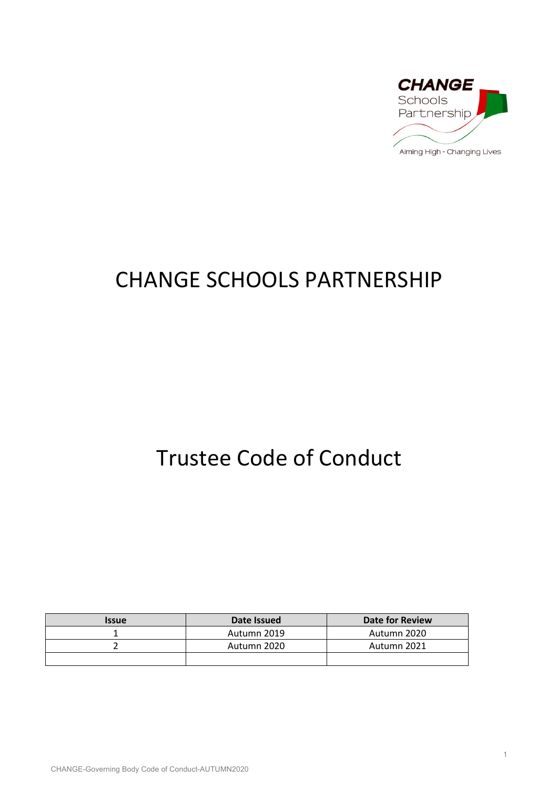

# CHANGE SCHOOLS PARTNERSHIP

# Trustee Code of Conduct

| <b>Issue</b> | Date Issued | Date for Review |
|--------------|-------------|-----------------|
|              | Autumn 2019 | Autumn 2020     |
|              | Autumn 2020 | Autumn 2021     |
|              |             |                 |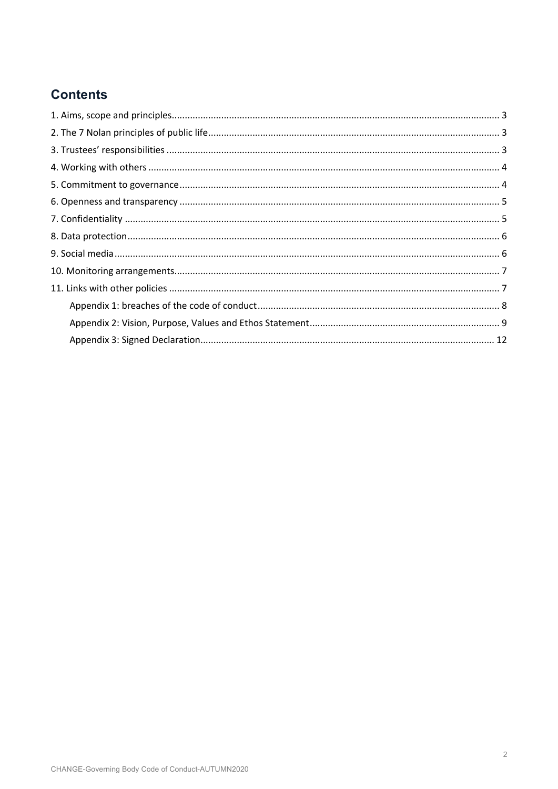# **Contents**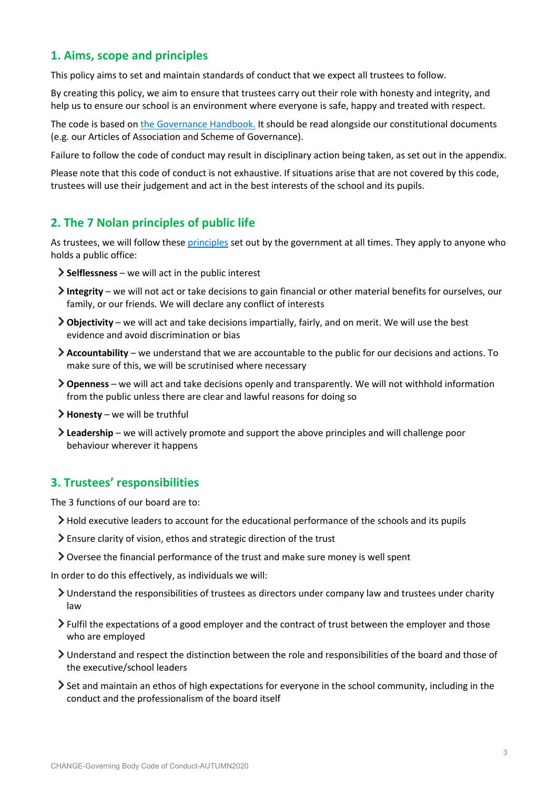# **1. Aims, scope and principles**

This policy aims to set and maintain standards of conduct that we expect all trustees to follow.

By creating this policy, we aim to ensure that trustees carry out their role with honesty and integrity, and help us to ensure our school is an environment where everyone is safe, happy and treated with respect.

The code is based on the Governance Handbook. It should be read alongside our constitutional documents (e.g. our Articles of Association and Scheme of Governance).

Failure to follow the code of conduct may result in disciplinary action being taken, as set out in the appendix.

Please note that this code of conduct is not exhaustive. If situations arise that are not covered by this code, trustees will use their judgement and act in the best interests of the school and its pupils.

## **2. The 7 Nolan principles of public life**

As trustees, we will follow these principles set out by the government at all times. They apply to anyone who holds a public office:

- **Selflessness** we will act in the public interest
- **Integrity** we will not act or take decisions to gain financial or other material benefits for ourselves, our family, or our friends. We will declare any conflict of interests
- **Objectivity** we will act and take decisions impartially, fairly, and on merit. We will use the best evidence and avoid discrimination or bias
- **Accountability** we understand that we are accountable to the public for our decisions and actions. To make sure of this, we will be scrutinised where necessary
- **Openness** we will act and take decisions openly and transparently. We will not withhold information from the public unless there are clear and lawful reasons for doing so
- **Honesty** we will be truthful
- **Leadership** we will actively promote and support the above principles and will challenge poor behaviour wherever it happens

# **3. Trustees' responsibilities**

The 3 functions of our board are to:

- Hold executive leaders to account for the educational performance of the schools and its pupils
- Ensure clarity of vision, ethos and strategic direction of the trust
- Oversee the financial performance of the trust and make sure money is well spent

In order to do this effectively, as individuals we will:

- Understand the responsibilities of trustees as directors under company law and trustees under charity law
- Fulfil the expectations of a good employer and the contract of trust between the employer and those who are employed
- Understand and respect the distinction between the role and responsibilities of the board and those of the executive/school leaders
- Set and maintain an ethos of high expectations for everyone in the school community, including in the conduct and the professionalism of the board itself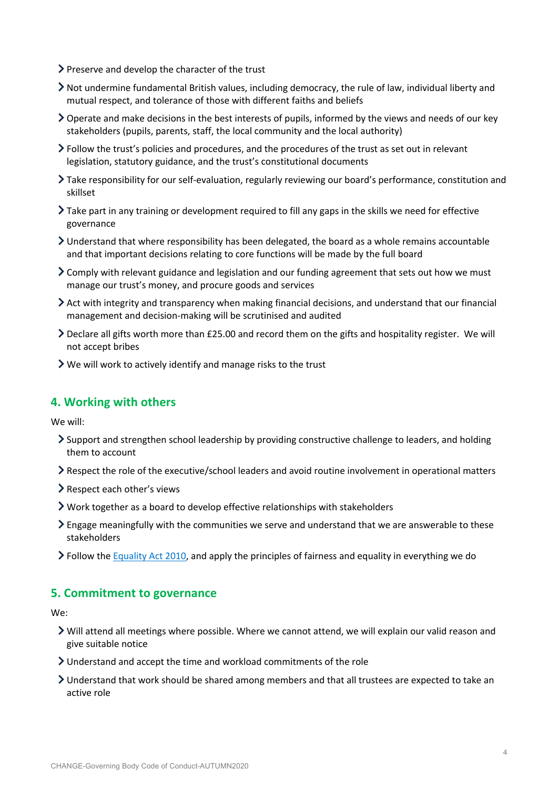- $\triangleright$  Preserve and develop the character of the trust
- Not undermine fundamental British values, including democracy, the rule of law, individual liberty and mutual respect, and tolerance of those with different faiths and beliefs
- Operate and make decisions in the best interests of pupils, informed by the views and needs of our key stakeholders (pupils, parents, staff, the local community and the local authority)
- Follow the trust's policies and procedures, and the procedures of the trust as set out in relevant legislation, statutory guidance, and the trust's constitutional documents
- Take responsibility for our self-evaluation, regularly reviewing our board's performance, constitution and skillset
- $\sum$  Take part in any training or development required to fill any gaps in the skills we need for effective governance
- Understand that where responsibility has been delegated, the board as a whole remains accountable and that important decisions relating to core functions will be made by the full board
- $\geq$  Comply with relevant guidance and legislation and our funding agreement that sets out how we must manage our trust's money, and procure goods and services
- $\geq$  Act with integrity and transparency when making financial decisions, and understand that our financial management and decision-making will be scrutinised and audited
- Declare all gifts worth more than £25.00 and record them on the gifts and hospitality register. We will not accept bribes
- $\triangleright$  We will work to actively identify and manage risks to the trust

## **4. Working with others**

We will:

- Support and strengthen school leadership by providing constructive challenge to leaders, and holding them to account
- Respect the role of the executive/school leaders and avoid routine involvement in operational matters
- Respect each other's views
- Work together as a board to develop effective relationships with stakeholders
- Engage meaningfully with the communities we serve and understand that we are answerable to these stakeholders
- Follow the Equality Act 2010, and apply the principles of fairness and equality in everything we do

### **5. Commitment to governance**

We:

- Will attend all meetings where possible. Where we cannot attend, we will explain our valid reason and give suitable notice
- Understand and accept the time and workload commitments of the role
- Understand that work should be shared among members and that all trustees are expected to take an active role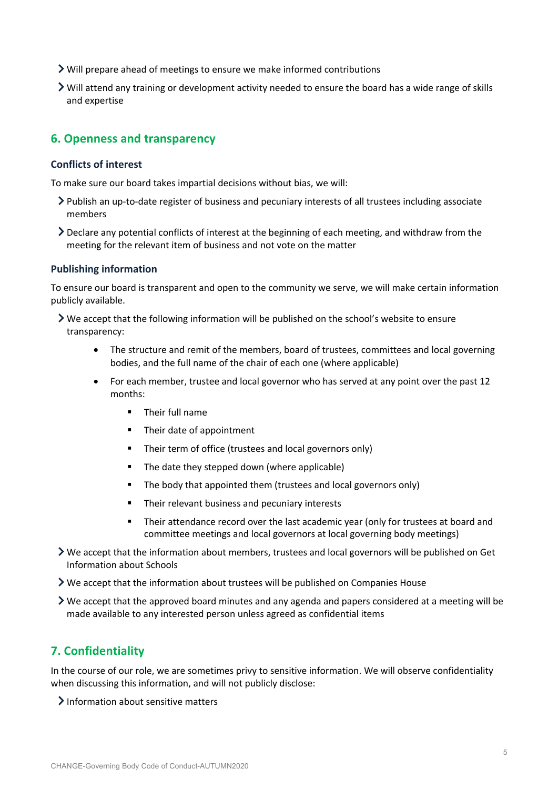- Will prepare ahead of meetings to ensure we make informed contributions
- Will attend any training or development activity needed to ensure the board has a wide range of skills and expertise

# **6. Openness and transparency**

### **Conflicts of interest**

To make sure our board takes impartial decisions without bias, we will:

- Publish an up-to-date register of business and pecuniary interests of all trustees including associate members
- Declare any potential conflicts of interest at the beginning of each meeting, and withdraw from the meeting for the relevant item of business and not vote on the matter

### **Publishing information**

To ensure our board is transparent and open to the community we serve, we will make certain information publicly available.

- $\triangleright$  We accept that the following information will be published on the school's website to ensure transparency:
	- The structure and remit of the members, board of trustees, committees and local governing bodies, and the full name of the chair of each one (where applicable)
	- For each member, trustee and local governor who has served at any point over the past 12 months:
		- Their full name
		- Their date of appointment
		- Their term of office (trustees and local governors only)
		- The date they stepped down (where applicable)
		- The body that appointed them (trustees and local governors only)
		- Their relevant business and pecuniary interests
		- Their attendance record over the last academic year (only for trustees at board and committee meetings and local governors at local governing body meetings)
- We accept that the information about members, trustees and local governors will be published on Get Information about Schools

We accept that the information about trustees will be published on Companies House

We accept that the approved board minutes and any agenda and papers considered at a meeting will be made available to any interested person unless agreed as confidential items

## **7. Confidentiality**

In the course of our role, we are sometimes privy to sensitive information. We will observe confidentiality when discussing this information, and will not publicly disclose:

 $\sum$  Information about sensitive matters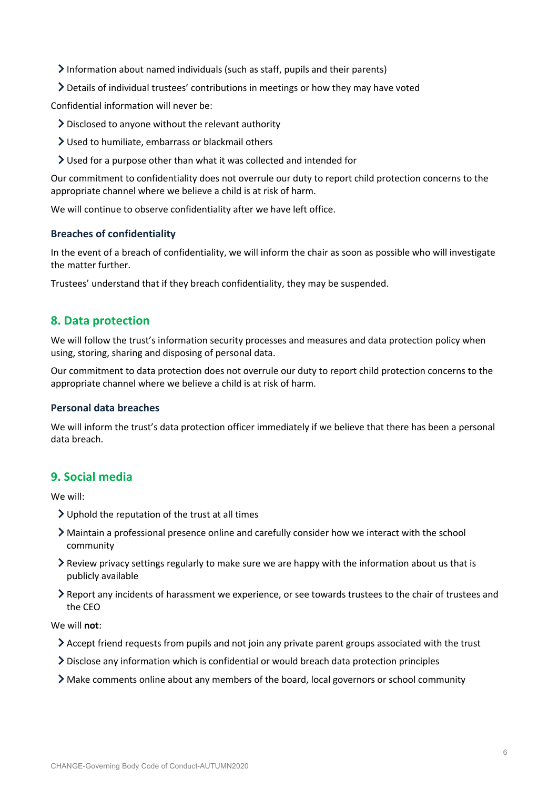Information about named individuals (such as staff, pupils and their parents)

Details of individual trustees' contributions in meetings or how they may have voted

Confidential information will never be:

- Disclosed to anyone without the relevant authority
- Used to humiliate, embarrass or blackmail others
- Used for a purpose other than what it was collected and intended for

Our commitment to confidentiality does not overrule our duty to report child protection concerns to the appropriate channel where we believe a child is at risk of harm.

We will continue to observe confidentiality after we have left office.

### **Breaches of confidentiality**

In the event of a breach of confidentiality, we will inform the chair as soon as possible who will investigate the matter further.

Trustees' understand that if they breach confidentiality, they may be suspended.

## **8. Data protection**

We will follow the trust's information security processes and measures and data protection policy when using, storing, sharing and disposing of personal data.

Our commitment to data protection does not overrule our duty to report child protection concerns to the appropriate channel where we believe a child is at risk of harm.

### **Personal data breaches**

We will inform the trust's data protection officer immediately if we believe that there has been a personal data breach.

## **9. Social media**

We will:

- Uphold the reputation of the trust at all times
- Maintain a professional presence online and carefully consider how we interact with the school community
- Review privacy settings regularly to make sure we are happy with the information about us that is publicly available
- Report any incidents of harassment we experience, or see towards trustees to the chair of trustees and the CEO

We will **not**:

- Accept friend requests from pupils and not join any private parent groups associated with the trust
- Disclose any information which is confidential or would breach data protection principles
- Make comments online about any members of the board, local governors or school community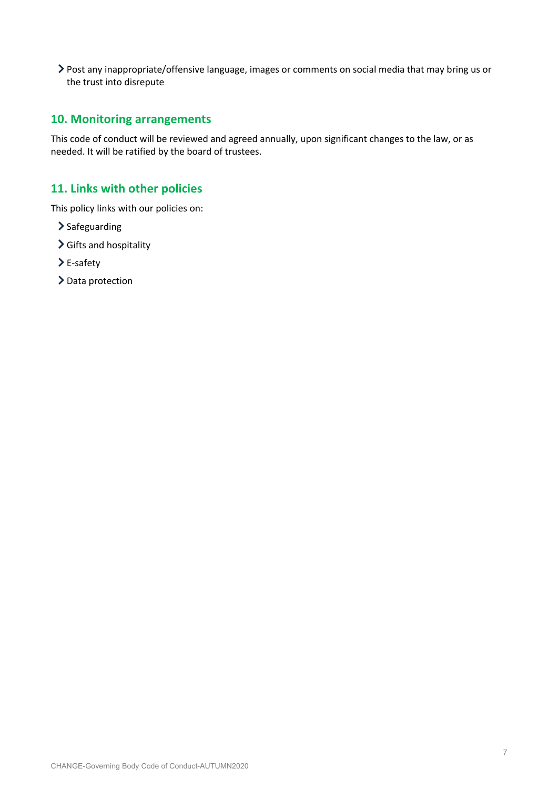Post any inappropriate/offensive language, images or comments on social media that may bring us or the trust into disrepute

# **10. Monitoring arrangements**

This code of conduct will be reviewed and agreed annually, upon significant changes to the law, or as needed. It will be ratified by the board of trustees.

# **11. Links with other policies**

This policy links with our policies on:

- $\sum$  Safeguarding
- Gifts and hospitality
- E-safety
- > Data protection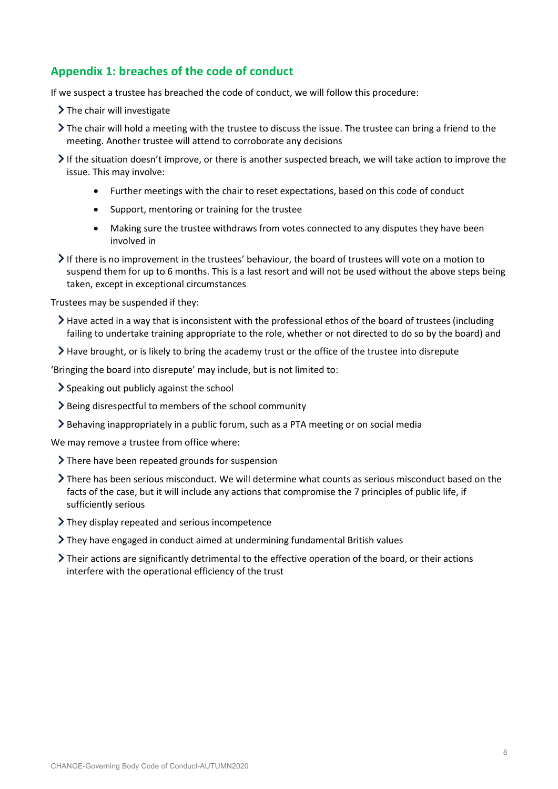# **Appendix 1: breaches of the code of conduct**

If we suspect a trustee has breached the code of conduct, we will follow this procedure:

- $\sum$  The chair will investigate
- The chair will hold a meeting with the trustee to discuss the issue. The trustee can bring a friend to the meeting. Another trustee will attend to corroborate any decisions
- $\triangleright$  If the situation doesn't improve, or there is another suspected breach, we will take action to improve the issue. This may involve:
	- Further meetings with the chair to reset expectations, based on this code of conduct
	- Support, mentoring or training for the trustee
	- Making sure the trustee withdraws from votes connected to any disputes they have been involved in
- If there is no improvement in the trustees' behaviour, the board of trustees will vote on a motion to suspend them for up to 6 months. This is a last resort and will not be used without the above steps being taken, except in exceptional circumstances

Trustees may be suspended if they:

- $\geq$  Have acted in a way that is inconsistent with the professional ethos of the board of trustees (including failing to undertake training appropriate to the role, whether or not directed to do so by the board) and
- Have brought, or is likely to bring the academy trust or the office of the trustee into disrepute

'Bringing the board into disrepute' may include, but is not limited to:

- $\geq$  Speaking out publicly against the school
- Being disrespectful to members of the school community
- Behaving inappropriately in a public forum, such as a PTA meeting or on social media

We may remove a trustee from office where:

- > There have been repeated grounds for suspension
- There has been serious misconduct. We will determine what counts as serious misconduct based on the facts of the case, but it will include any actions that compromise the 7 principles of public life, if sufficiently serious
- They display repeated and serious incompetence
- They have engaged in conduct aimed at undermining fundamental British values
- Their actions are significantly detrimental to the effective operation of the board, or their actions interfere with the operational efficiency of the trust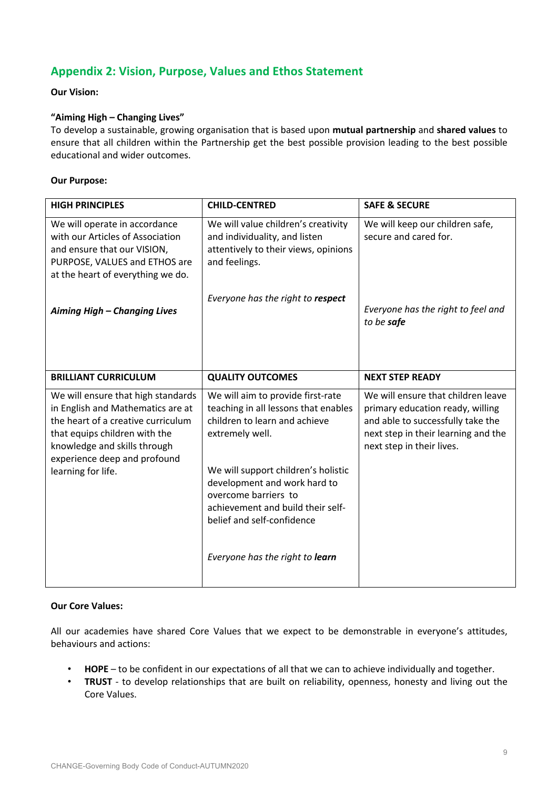# **Appendix 2: Vision, Purpose, Values and Ethos Statement**

### **Our Vision:**

### **"Aiming High – Changing Lives"**

To develop a sustainable, growing organisation that is based upon **mutual partnership** and **shared values** to ensure that all children within the Partnership get the best possible provision leading to the best possible educational and wider outcomes.

### **Our Purpose:**

| <b>HIGH PRINCIPLES</b>                                                                                                                                                                                                               | <b>CHILD-CENTRED</b>                                                                                                                                                                                                                                                                                                               | <b>SAFE &amp; SECURE</b>                                                                                                                                                        |
|--------------------------------------------------------------------------------------------------------------------------------------------------------------------------------------------------------------------------------------|------------------------------------------------------------------------------------------------------------------------------------------------------------------------------------------------------------------------------------------------------------------------------------------------------------------------------------|---------------------------------------------------------------------------------------------------------------------------------------------------------------------------------|
| We will operate in accordance<br>with our Articles of Association<br>and ensure that our VISION,<br>PURPOSE, VALUES and ETHOS are<br>at the heart of everything we do.                                                               | We will value children's creativity<br>and individuality, and listen<br>attentively to their views, opinions<br>and feelings.                                                                                                                                                                                                      | We will keep our children safe,<br>secure and cared for.                                                                                                                        |
| Aiming High - Changing Lives                                                                                                                                                                                                         | Everyone has the right to respect                                                                                                                                                                                                                                                                                                  | Everyone has the right to feel and<br>to be safe                                                                                                                                |
| <b>BRILLIANT CURRICULUM</b>                                                                                                                                                                                                          | <b>QUALITY OUTCOMES</b>                                                                                                                                                                                                                                                                                                            | <b>NEXT STEP READY</b>                                                                                                                                                          |
| We will ensure that high standards<br>in English and Mathematics are at<br>the heart of a creative curriculum<br>that equips children with the<br>knowledge and skills through<br>experience deep and profound<br>learning for life. | We will aim to provide first-rate<br>teaching in all lessons that enables<br>children to learn and achieve<br>extremely well.<br>We will support children's holistic<br>development and work hard to<br>overcome barriers to<br>achievement and build their self-<br>belief and self-confidence<br>Everyone has the right to learn | We will ensure that children leave<br>primary education ready, willing<br>and able to successfully take the<br>next step in their learning and the<br>next step in their lives. |
|                                                                                                                                                                                                                                      |                                                                                                                                                                                                                                                                                                                                    |                                                                                                                                                                                 |

### **Our Core Values:**

All our academies have shared Core Values that we expect to be demonstrable in everyone's attitudes, behaviours and actions:

- **HOPE** to be confident in our expectations of all that we can to achieve individually and together.
- **TRUST** to develop relationships that are built on reliability, openness, honesty and living out the Core Values.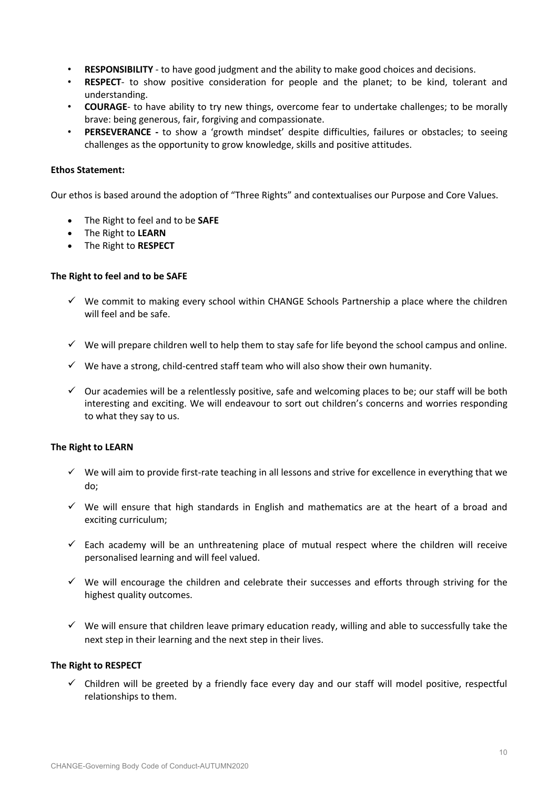- **RESPONSIBILITY** to have good judgment and the ability to make good choices and decisions.
- **RESPECT** to show positive consideration for people and the planet; to be kind, tolerant and understanding.
- **COURAGE** to have ability to try new things, overcome fear to undertake challenges; to be morally brave: being generous, fair, forgiving and compassionate.
- **PERSEVERANCE -** to show a 'growth mindset' despite difficulties, failures or obstacles; to seeing challenges as the opportunity to grow knowledge, skills and positive attitudes.

### **Ethos Statement:**

Our ethos is based around the adoption of "Three Rights" and contextualises our Purpose and Core Values.

- The Right to feel and to be **SAFE**
- The Right to **LEARN**
- The Right to **RESPECT**

### **The Right to feel and to be SAFE**

- $\checkmark$  We commit to making every school within CHANGE Schools Partnership a place where the children will feel and be safe.
- $\checkmark$  We will prepare children well to help them to stay safe for life beyond the school campus and online.
- $\checkmark$  We have a strong, child-centred staff team who will also show their own humanity.
- $\checkmark$  Our academies will be a relentlessly positive, safe and welcoming places to be; our staff will be both interesting and exciting. We will endeavour to sort out children's concerns and worries responding to what they say to us.

#### **The Right to LEARN**

- $\checkmark$  We will aim to provide first-rate teaching in all lessons and strive for excellence in everything that we do;
- $\checkmark$  We will ensure that high standards in English and mathematics are at the heart of a broad and exciting curriculum;
- $\checkmark$  Each academy will be an unthreatening place of mutual respect where the children will receive personalised learning and will feel valued.
- $\checkmark$  We will encourage the children and celebrate their successes and efforts through striving for the highest quality outcomes.
- $\checkmark$  We will ensure that children leave primary education ready, willing and able to successfully take the next step in their learning and the next step in their lives.

#### **The Right to RESPECT**

 $\checkmark$  Children will be greeted by a friendly face every day and our staff will model positive, respectful relationships to them.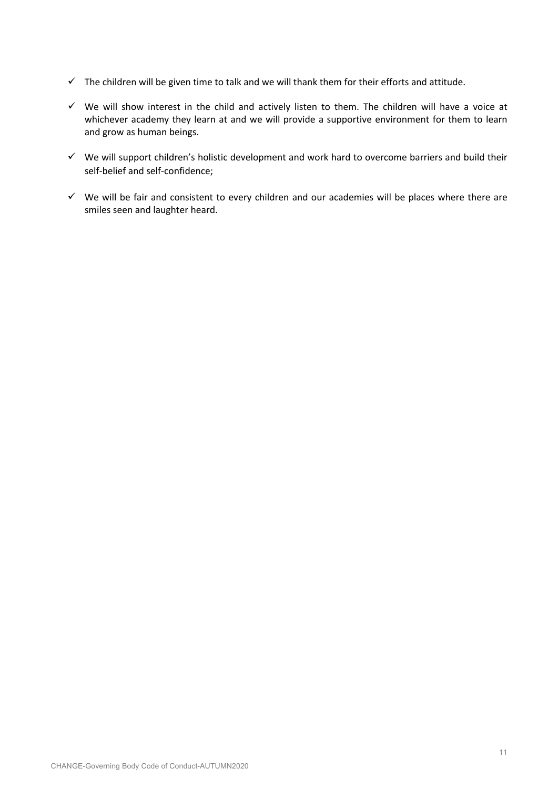- $\checkmark$  The children will be given time to talk and we will thank them for their efforts and attitude.
- $\checkmark$  We will show interest in the child and actively listen to them. The children will have a voice at whichever academy they learn at and we will provide a supportive environment for them to learn and grow as human beings.
- $\checkmark$  We will support children's holistic development and work hard to overcome barriers and build their self-belief and self-confidence;
- $\checkmark$  We will be fair and consistent to every children and our academies will be places where there are smiles seen and laughter heard.